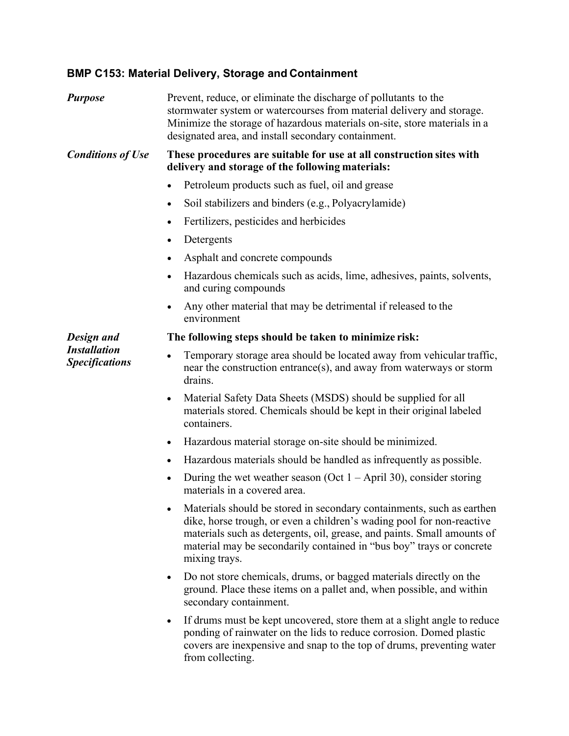## **BMP C153: Material Delivery, Storage and Containment**

| <b>Purpose</b>                                             | Prevent, reduce, or eliminate the discharge of pollutants to the<br>stormwater system or watercourses from material delivery and storage.<br>Minimize the storage of hazardous materials on-site, store materials in a<br>designated area, and install secondary containment.                                      |
|------------------------------------------------------------|--------------------------------------------------------------------------------------------------------------------------------------------------------------------------------------------------------------------------------------------------------------------------------------------------------------------|
| <b>Conditions of Use</b>                                   | These procedures are suitable for use at all construction sites with<br>delivery and storage of the following materials:                                                                                                                                                                                           |
|                                                            | Petroleum products such as fuel, oil and grease                                                                                                                                                                                                                                                                    |
|                                                            | Soil stabilizers and binders (e.g., Polyacrylamide)<br>$\bullet$                                                                                                                                                                                                                                                   |
|                                                            | Fertilizers, pesticides and herbicides<br>$\bullet$                                                                                                                                                                                                                                                                |
|                                                            | Detergents<br>$\bullet$                                                                                                                                                                                                                                                                                            |
|                                                            | Asphalt and concrete compounds                                                                                                                                                                                                                                                                                     |
|                                                            | Hazardous chemicals such as acids, lime, adhesives, paints, solvents,<br>$\bullet$<br>and curing compounds                                                                                                                                                                                                         |
|                                                            | Any other material that may be detrimental if released to the<br>$\bullet$<br>environment                                                                                                                                                                                                                          |
| Design and<br><b>Installation</b><br><b>Specifications</b> | The following steps should be taken to minimize risk:                                                                                                                                                                                                                                                              |
|                                                            | Temporary storage area should be located away from vehicular traffic,<br>$\bullet$<br>near the construction entrance(s), and away from waterways or storm<br>drains.                                                                                                                                               |
|                                                            | Material Safety Data Sheets (MSDS) should be supplied for all<br>$\bullet$<br>materials stored. Chemicals should be kept in their original labeled<br>containers.                                                                                                                                                  |
|                                                            | Hazardous material storage on-site should be minimized.<br>$\bullet$                                                                                                                                                                                                                                               |
|                                                            | Hazardous materials should be handled as infrequently as possible.<br>$\bullet$                                                                                                                                                                                                                                    |
|                                                            | During the wet weather season (Oct $1 -$ April 30), consider storing<br>$\bullet$<br>materials in a covered area.                                                                                                                                                                                                  |
|                                                            | Materials should be stored in secondary containments, such as earthen<br>dike, horse trough, or even a children's wading pool for non-reactive<br>materials such as detergents, oil, grease, and paints. Small amounts of<br>material may be secondarily contained in "bus boy" trays or concrete<br>mixing trays. |
|                                                            | Do not store chemicals, drums, or bagged materials directly on the<br>$\bullet$<br>ground. Place these items on a pallet and, when possible, and within<br>secondary containment.                                                                                                                                  |
|                                                            | If drums must be kept uncovered, store them at a slight angle to reduce<br>$\bullet$<br>ponding of rainwater on the lids to reduce corrosion. Domed plastic<br>covers are inexpensive and snap to the top of drums, preventing water<br>from collecting.                                                           |